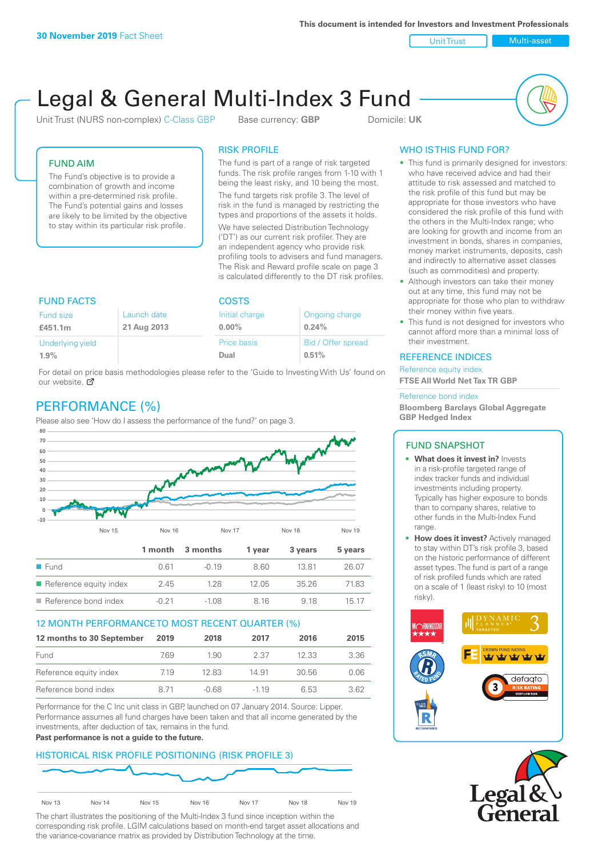Unit Trust Nulti-asset

# Legal & General Multi-Index 3 Fund

Unit Trust (NURS non-complex) C-Class GBP Base currency: **GBP** Domicile: UK



## FUND AIM

The Fund's objective is to provide a combination of growth and income within a pre-determined risk profile. The Fund's potential gains and losses are likely to be limited by the objective to stay within its particular risk profile.

## RISK PROFILE

The fund is part of a range of risk targeted funds. The risk profile ranges from 1-10 with 1 being the least risky, and 10 being the most.

The fund targets risk profile 3. The level of risk in the fund is managed by restricting the types and proportions of the assets it holds. We have selected Distribution Technology ('DT') as our current risk profiler. They are an independent agency who provide risk profiling tools to advisers and fund managers. The Risk and Reward profile scale on page 3 is calculated differently to the DT risk profiles.

| <b>FUND FACTS</b> |             | <b>COSTS</b>   |                    |  |
|-------------------|-------------|----------------|--------------------|--|
| Fund size         | Launch date | Initial charge | Ongoing charge     |  |
| £451.1m           | 21 Aug 2013 | $0.00\%$       | 0.24%              |  |
| Underlying yield  |             | Price basis    | Bid / Offer spread |  |
| 1.9%              |             | Dual           | 0.51%              |  |

For detail on price basis methodologies please refer to the 'Guide to Investing With Us' found on our website. Ø

# PERFORMANCE (%)

Please also see 'How do I assess the performance of the fund?' on page 3.



## 12 MONTH PERFORMANCE TO MOST RECENT QUARTER (%)

| 12 months to 30 September | 2019 | 2018    | 2017   | 2016  | 2015 |
|---------------------------|------|---------|--------|-------|------|
| Fund                      | 7.69 | 1.90    | 2.37   | 12.33 | 3.36 |
| Reference equity index    | 7.19 | 12.83   | 14.91  | 30.56 | 0.06 |
| Reference bond index      | 8 71 | $-0.68$ | $-119$ | 6.53  | 362  |

Performance for the C Inc unit class in GBP, launched on 07 January 2014. Source: Lipper. Performance assumes all fund charges have been taken and that all income generated by the investments, after deduction of tax, remains in the fund.

#### **Past performance is not a guide to the future.**

## HISTORICAL RISK PROFILE POSITIONING (RISK PROFILE 3)



The chart illustrates the positioning of the Multi-Index 3 fund since inception within the corresponding risk profile. LGIM calculations based on month-end target asset allocations and the variance-covariance matrix as provided by Distribution Technology at the time.

# WHO IS THIS FUND FOR?

- This fund is primarily designed for investors: who have received advice and had their attitude to risk assessed and matched to the risk profile of this fund but may be appropriate for those investors who have considered the risk profile of this fund with the others in the Multi-Index range; who are looking for growth and income from an investment in bonds, shares in companies, money market instruments, deposits, cash and indirectly to alternative asset classes (such as commodities) and property.
- Although investors can take their money out at any time, this fund may not be appropriate for those who plan to withdraw their money within five years.
- This fund is not designed for investors who cannot afford more than a minimal loss of their investment.

## REFERENCE INDICES

Reference equity index **FTSE All World Net Tax TR GBP**

#### Reference bond index

**Bloomberg Barclays Global Aggregate GBP Hedged Index**

#### FUND SNAPSHOT

- **• What does it invest in?** Invests in a risk-profile targeted range of index tracker funds and individual investments including property. Typically has higher exposure to bonds than to company shares, relative to other funds in the Multi-Index Fund range.
- **• How does it invest?** Actively managed to stay within DT's risk profile 3, based on the historic performance of different asset types. The fund is part of a range of risk profiled funds which are rated on a scale of 1 (least risky) to 10 (most risky).



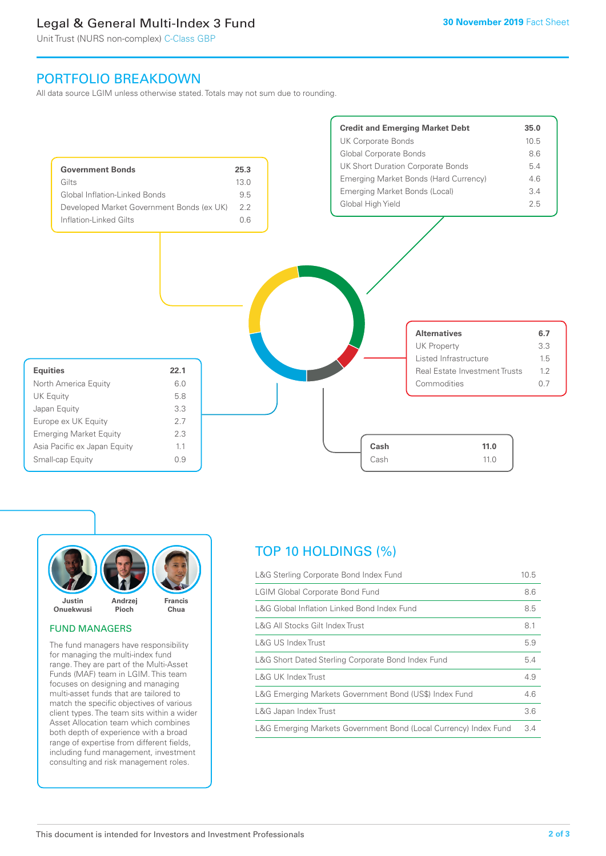# Legal & General Multi-Index 3 Fund

Unit Trust (NURS non-complex) C-Class GBP

# PORTFOLIO BREAKDOWN

All data source LGIM unless otherwise stated. Totals may not sum due to rounding.





## FUND MANAGERS

The fund managers have responsibility for managing the multi-index fund range. They are part of the Multi-Asset Funds (MAF) team in LGIM. This team focuses on designing and managing multi-asset funds that are tailored to match the specific objectives of various client types. The team sits within a wider Asset Allocation team which combines both depth of experience with a broad range of expertise from different fields, including fund management, investment consulting and risk management roles.

# TOP 10 HOLDINGS (%)

| L&G Sterling Corporate Bond Index Fund                           | 10.5 |
|------------------------------------------------------------------|------|
| <b>LGIM Global Corporate Bond Fund</b>                           | 8.6  |
| L&G Global Inflation Linked Bond Index Fund                      | 8.5  |
| L&G All Stocks Gilt Index Trust                                  | 8.1  |
| L&G US Index Trust                                               | 5.9  |
| L&G Short Dated Sterling Corporate Bond Index Fund               | 5.4  |
| <b>L&amp;G UK Index Trust</b>                                    | 4.9  |
| L&G Emerging Markets Government Bond (US\$) Index Fund           | 4.6  |
| L&G Japan Index Trust                                            | 3.6  |
| L&G Emerging Markets Government Bond (Local Currency) Index Fund | 3.4  |